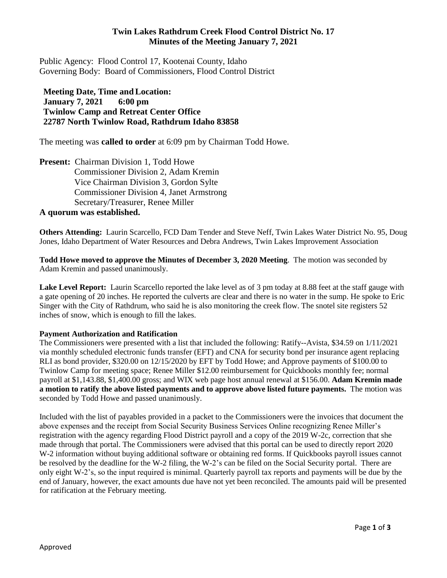# **Twin Lakes Rathdrum Creek Flood Control District No. 17 Minutes of the Meeting January 7, 2021**

Public Agency: Flood Control 17, Kootenai County, Idaho Governing Body: Board of Commissioners, Flood Control District

**Meeting Date, Time andLocation: January 7, 2021 6:00 pm Twinlow Camp and Retreat Center Office 22787 North Twinlow Road, Rathdrum Idaho 83858**

The meeting was **called to order** at 6:09 pm by Chairman Todd Howe.

**Present:** Chairman Division 1, Todd Howe Commissioner Division 2, Adam Kremin Vice Chairman Division 3, Gordon Sylte Commissioner Division 4, Janet Armstrong Secretary/Treasurer, Renee Miller **A quorum was established.**

**Others Attending:** Laurin Scarcello, FCD Dam Tender and Steve Neff, Twin Lakes Water District No. 95, Doug Jones, Idaho Department of Water Resources and Debra Andrews, Twin Lakes Improvement Association

**Todd Howe moved to approve the Minutes of December 3, 2020 Meeting**. The motion was seconded by Adam Kremin and passed unanimously.

**Lake Level Report:** Laurin Scarcello reported the lake level as of 3 pm today at 8.88 feet at the staff gauge with a gate opening of 20 inches. He reported the culverts are clear and there is no water in the sump. He spoke to Eric Singer with the City of Rathdrum, who said he is also monitoring the creek flow. The snotel site registers 52 inches of snow, which is enough to fill the lakes.

## **Payment Authorization and Ratification**

The Commissioners were presented with a list that included the following: Ratify--Avista, \$34.59 on 1/11/2021 via monthly scheduled electronic funds transfer (EFT) and CNA for security bond per insurance agent replacing RLI as bond provider, \$320.00 on 12/15/2020 by EFT by Todd Howe; and Approve payments of \$100.00 to Twinlow Camp for meeting space; Renee Miller \$12.00 reimbursement for Quickbooks monthly fee; normal payroll at \$1,143.88, \$1,400.00 gross; and WIX web page host annual renewal at \$156.00. **Adam Kremin made a motion to ratify the above listed payments and to approve above listed future payments.** The motion was seconded by Todd Howe and passed unanimously.

Included with the list of payables provided in a packet to the Commissioners were the invoices that document the above expenses and the receipt from Social Security Business Services Online recognizing Renee Miller's registration with the agency regarding Flood District payroll and a copy of the 2019 W-2c, correction that she made through that portal. The Commissioners were advised that this portal can be used to directly report 2020 W-2 information without buying additional software or obtaining red forms. If Quickbooks payroll issues cannot be resolved by the deadline for the W-2 filing, the W-2's can be filed on the Social Security portal. There are only eight W-2's, so the input required is minimal. Quarterly payroll tax reports and payments will be due by the end of January, however, the exact amounts due have not yet been reconciled. The amounts paid will be presented for ratification at the February meeting.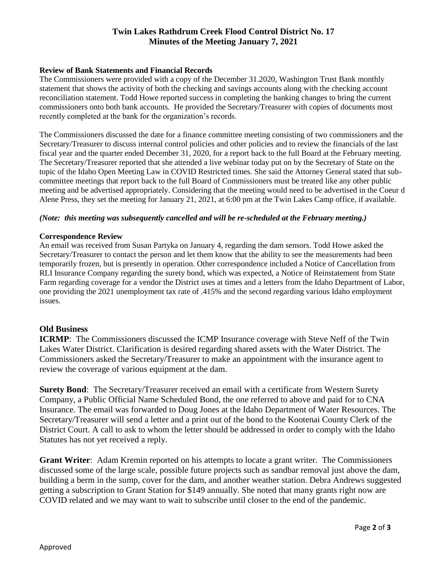# **Twin Lakes Rathdrum Creek Flood Control District No. 17 Minutes of the Meeting January 7, 2021**

## **Review of Bank Statements and Financial Records**

The Commissioners were provided with a copy of the December 31.2020, Washington Trust Bank monthly statement that shows the activity of both the checking and savings accounts along with the checking account reconciliation statement. Todd Howe reported success in completing the banking changes to bring the current commissioners onto both bank accounts. He provided the Secretary/Treasurer with copies of documents most recently completed at the bank for the organization's records.

The Commissioners discussed the date for a finance committee meeting consisting of two commissioners and the Secretary/Treasurer to discuss internal control policies and other policies and to review the financials of the last fiscal year and the quarter ended December 31, 2020, for a report back to the full Board at the February meeting. The Secretary/Treasurer reported that she attended a live webinar today put on by the Secretary of State on the topic of the Idaho Open Meeting Law in COVID Restricted times. She said the Attorney General stated that subcommittee meetings that report back to the full Board of Commissioners must be treated like any other public meeting and be advertised appropriately. Considering that the meeting would need to be advertised in the Coeur d Alene Press, they set the meeting for January 21, 2021, at 6:00 pm at the Twin Lakes Camp office, if available.

### *(Note: this meeting was subsequently cancelled and will be re-scheduled at the February meeting.)*

#### **Correspondence Review**

An email was received from Susan Partyka on January 4, regarding the dam sensors. Todd Howe asked the Secretary/Treasurer to contact the person and let them know that the ability to see the measurements had been temporarily frozen, but is presently in operation. Other correspondence included a Notice of Cancellation from RLI Insurance Company regarding the surety bond, which was expected, a Notice of Reinstatement from State Farm regarding coverage for a vendor the District uses at times and a letters from the Idaho Department of Labor, one providing the 2021 unemployment tax rate of .415% and the second regarding various Idaho employment issues.

### **Old Business**

**ICRMP**: The Commissioners discussed the ICMP Insurance coverage with Steve Neff of the Twin Lakes Water District. Clarification is desired regarding shared assets with the Water District. The Commissioners asked the Secretary/Treasurer to make an appointment with the insurance agent to review the coverage of various equipment at the dam.

**Surety Bond**: The Secretary/Treasurer received an email with a certificate from Western Surety Company, a Public Official Name Scheduled Bond, the one referred to above and paid for to CNA Insurance. The email was forwarded to Doug Jones at the Idaho Department of Water Resources. The Secretary/Treasurer will send a letter and a print out of the bond to the Kootenai County Clerk of the District Court. A call to ask to whom the letter should be addressed in order to comply with the Idaho Statutes has not yet received a reply.

**Grant Writer**: Adam Kremin reported on his attempts to locate a grant writer. The Commissioners discussed some of the large scale, possible future projects such as sandbar removal just above the dam, building a berm in the sump, cover for the dam, and another weather station. Debra Andrews suggested getting a subscription to Grant Station for \$149 annually. She noted that many grants right now are COVID related and we may want to wait to subscribe until closer to the end of the pandemic.